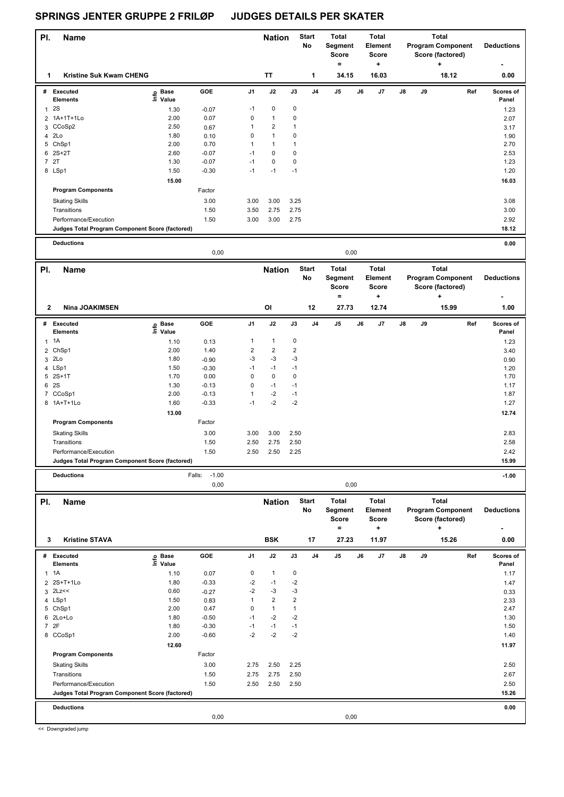#### **Name Deductions - Nation** Start Total **Segment Score = Total Element Score + Total Program Component Score (factored) + PI.** Name **Start PI.** Nation Start **No # Executed Elements Base Value GOE J1 J2 J3 J4 J5 J6 J7 J8 J9 Scores of Panel** 1 2S 1.30 -0.07 -1 0 0 **Ref**  المستحد المستحدة المستحدة المستحدة المستحدة المستحدة المستحدة المستحدة المستحدة المستحدة المستحدة المستحدة الم<br>2S 1.30 -0.07 -1 0 0<br>2S 1.23 -1.30 -0.07 -1 0 0  **1 Kristine Suk Kwam CHENG TT 1 34.15 16.03 18.12 0.00** 2 1A+1T+1Lo 2.00 0.07 0 1 0 2.07 3 CCoSp2 2.50 0.67 1 2 1 3.17 4 2Lo 1.80 0.10 0 1 0 1.90 5 ChSp1 2.00 0.70 1 1 1 2.70  $6$  2S+2T  $2.53$   $2.60$   $-0.07$   $-1$  0 0 7 2T 1.30 -0.07 -1 0 0 1.23 8 LSp1 1.50 -0.30 -1 -1 -1 1.20  **15.00 16.03 Program Components**  Skating Skills 3.00 3.00 3.25 Factor 3.00 3.08 Transitions 1.50 3.50 2.75 2.75 3.00 Performance/Execution 1.50 3.00 3.00 2.75 2.92 **Deductions 0.00 Judges Total Program Component Score (factored) 18.12** 0,00 0,00 **Name Deductions - Nation Total Segment Score = Total Element Score + Total Program Component Score (factored) + Pl.** Name **Start Pl. Nation** Start **No # Executed Elements Base Value GOE J1 J2 J3 J4 J5 J6 J7 J8 J9 Scores of Panel** 1 1.10 0.13 1 1 0 **Ref**  المسلم المسلم المسلم المسلم المسلم المسلم المسلم المسلم المسلم المسلم المسلم المسلم المسلم المسلم ال<br>1A 1.10 0.13 1 1 0<br>1A 1.23 1.10 0.13 1 1 0  **2 Nina JOAKIMSEN OI 12 27.73 12.74 15.99 1.00** 2 ChSp1 2.00 1.40 2 2 2 3.40  $3$  2Lo  $1.80$   $-0.90$   $-3$   $-3$   $-3$   $-3$   $-1$ 4 LSp1 1.50 -0.30 -1 -1 -1 1.20 5 2S+1T 1.70 0.00 0 0 0 1.70 6 2S 1.30 -0.13 0 -1 -1 1.17 7 CCoSp1 2.00 -0.13 1 -2 -1 1.87 8 1A+T+1Lo 1.60 -0.33 -1 -2 -2 1.27  **13.00 12.74 Program Components**  Skating Skills 3.00 3.00 3.00 2.50 Factor 3.00 2.83 Transitions 1.50 2.50 2.75 2.50 2.58 Performance/Execution 1.50 2.50 2.50 2.25 2.42 **Deductions** Falls: -1.00 **-1.00 Judges Total Program Component Score (factored) 15.99** 0,00 0,00 **Name Deductions - Nation Start** Total **Segment Score = Total Element Score + Total Program Component Score (factored) + PI.** Name **Start PI.** Nation Start **No # Executed Elements Base Value GOE J1 J2 J3 J4 J5 J6 J7 J8 J9 Scores of Panel** 1 1A 1.10 0.07 0 1 0 **Ref**  1A 1.17 **Info 3 Kristine STAVA BSK 17 27.23 11.97 15.26 0.00** 2 2S+T+1Lo 1.80 -0.33 -2 -1 -2 1.47  $3 \,$  2Lz $\lt \lt \lt$  0.60  $-0.27$   $-2$   $-3$   $-3$ 4 LSp1 1.50 0.83 1 2 2 2.33 5 ChSp1 2.00 0.47 0 1 1 2.47  $6$  2Lo+Lo  $1.30$   $-0.50$   $-1$   $-2$   $-2$ 7 2F 1.80 -0.30 -1 -1 -1 1.50 8 CCoSp1 2.00 -0.60 -2 -2 -2 1.40  **12.60** 11.97 **Program Components**  Skating Skills 2.75 2.50 2.25 Factor 3.00 2.50 Transitions 1.50 2.75 2.75 2.50 2.67 Performance/Execution 1.50 2.50 2.50 2.50 2.50 **Judges Total Program Component Score (factored) 15.26**

**Deductions 0.00**

0,00 0,00

<< Downgraded jump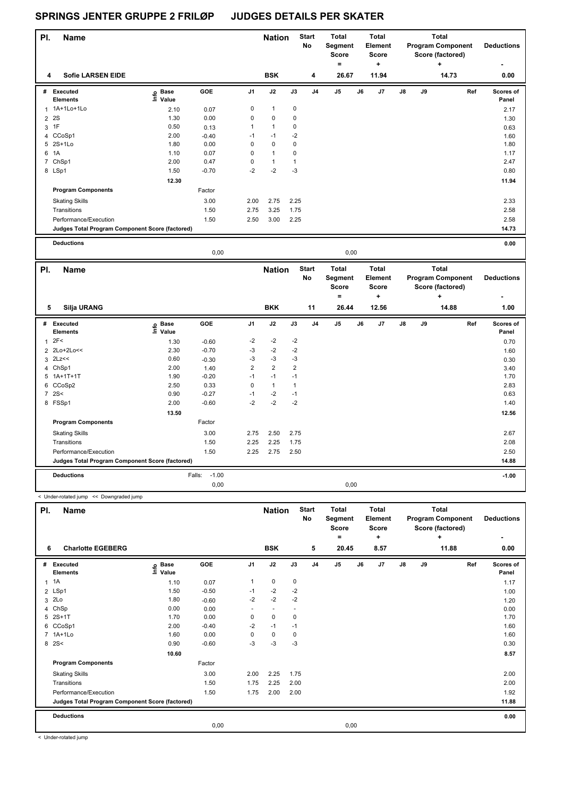#### **Name Deductions - Nation Start** Total **Segment Score = Total Element Score + Total Program Component Score (factored) + PI.** Name **Start PI.** Nation Start **No # Executed Elements Base Value GOE J1 J2 J3 J4 J5 J6 J7 J8 J9 Scores of Panel** 1 2.10 0.07 0 1 0 **Ref**  1A+1Lo+1Lo 2.17 **Info 4 Sofie LARSEN EIDE BSK 4 26.67 11.94 14.73 0.00** 2 2S 2S 2.0 1.30 0.00 0 0 0 0 1.30 1.30  $3$  1F 0.50 0.13 1 1 0 0.63 4 CCoSp1 2.00 -0.40 -1 -1 -2 2.00 -0.40 -1 -1 -2 1.60 5 2S+1Lo 1.80 0.00 0 0 0 1.80 6 1A 1.10 0.07 0 1 0 1.17 7 ChSp1 2.00 0.47 0 1 1 2.47 8 LSp1 1.50 -0.70 -2 -2 -3 0.80  **12.30 11.94 Program Components**  Skating Skills 2.00 2.75 2.25 Factor 3.00 2.33 Transitions 1.50 2.75 3.25 1.75 2.58 Performance/Execution 1.50 2.50 3.00 2.25 2.58 **Deductions 0.00 Judges Total Program Component Score (factored) 14.73** 0,00 0,00 **Total Total**

| PI.            | <b>Name</b>                                     |                            |                   |                | <b>Nation</b>  |                | <b>Start</b><br>No | Total<br>Segment<br><b>Score</b><br>= |    | Total<br>Element<br>Score<br>٠ |               |    | Total<br><b>Program Component</b><br>Score (factored)<br>÷ | <b>Deductions</b>  |
|----------------|-------------------------------------------------|----------------------------|-------------------|----------------|----------------|----------------|--------------------|---------------------------------------|----|--------------------------------|---------------|----|------------------------------------------------------------|--------------------|
|                | <b>Silja URANG</b><br>5                         |                            |                   |                | <b>BKK</b>     |                | 11                 | 26.44                                 |    | 12.56                          |               |    | 14.88                                                      | 1.00               |
| #              | <b>Executed</b><br><b>Elements</b>              | e Base<br>⊆ Value<br>Value | GOE               | J <sub>1</sub> | J2             | J3             | J <sub>4</sub>     | J <sub>5</sub>                        | J6 | J7                             | $\mathsf{J}8$ | J9 | Ref                                                        | Scores of<br>Panel |
| 1              | 2F<                                             | 1.30                       | $-0.60$           | $-2$           | $-2$           | $-2$           |                    |                                       |    |                                |               |    |                                                            | 0.70               |
|                | 2 2Lo+2Lo<<                                     | 2.30                       | $-0.70$           | -3             | $-2$           | $-2$           |                    |                                       |    |                                |               |    |                                                            | 1.60               |
|                | $3$ 2Lz <<                                      | 0.60                       | $-0.30$           | -3             | $-3$           | $-3$           |                    |                                       |    |                                |               |    |                                                            | 0.30               |
|                | 4 ChSp1                                         | 2.00                       | 1.40              | $\overline{2}$ | $\overline{2}$ | $\overline{2}$ |                    |                                       |    |                                |               |    |                                                            | 3.40               |
|                | $5$ 1A+1T+1T                                    | 1.90                       | $-0.20$           | $-1$           | $-1$           | $-1$           |                    |                                       |    |                                |               |    |                                                            | 1.70               |
| 6              | CCoSp2                                          | 2.50                       | 0.33              | 0              | $\overline{1}$ | 1              |                    |                                       |    |                                |               |    |                                                            | 2.83               |
| $\overline{7}$ | 2S<                                             | 0.90                       | $-0.27$           | $-1$           | $-2$           | $-1$           |                    |                                       |    |                                |               |    |                                                            | 0.63               |
|                | 8 FSSp1                                         | 2.00                       | $-0.60$           | $-2$           | $-2$           | $-2$           |                    |                                       |    |                                |               |    |                                                            | 1.40               |
|                |                                                 | 13.50                      |                   |                |                |                |                    |                                       |    |                                |               |    |                                                            | 12.56              |
|                | <b>Program Components</b>                       |                            | Factor            |                |                |                |                    |                                       |    |                                |               |    |                                                            |                    |
|                | <b>Skating Skills</b>                           |                            | 3.00              | 2.75           | 2.50           | 2.75           |                    |                                       |    |                                |               |    |                                                            | 2.67               |
|                | Transitions                                     |                            | 1.50              | 2.25           | 2.25           | 1.75           |                    |                                       |    |                                |               |    |                                                            | 2.08               |
|                | Performance/Execution                           |                            | 1.50              | 2.25           | 2.75           | 2.50           |                    |                                       |    |                                |               |    |                                                            | 2.50               |
|                | Judges Total Program Component Score (factored) |                            |                   |                |                |                |                    |                                       |    |                                |               |    |                                                            | 14.88              |
|                | <b>Deductions</b>                               |                            | $-1.00$<br>Falls: |                |                |                |                    |                                       |    |                                |               |    |                                                            | $-1.00$            |
|                |                                                 |                            | 0,00              |                |                |                |                    | 0,00                                  |    |                                |               |    |                                                            |                    |

| PI. | <b>Name</b>                                     |                            |         |                          | <b>Nation</b>            |      | <b>Start</b><br><b>No</b> | <b>Total</b><br>Segment<br><b>Score</b><br>۰ |    | <b>Total</b><br>Element<br><b>Score</b><br>÷ |               |    | <b>Total</b><br><b>Program Component</b><br>Score (factored)<br>÷ | <b>Deductions</b>  |
|-----|-------------------------------------------------|----------------------------|---------|--------------------------|--------------------------|------|---------------------------|----------------------------------------------|----|----------------------------------------------|---------------|----|-------------------------------------------------------------------|--------------------|
| 6   | <b>Charlotte EGEBERG</b>                        |                            |         |                          | <b>BSK</b>               |      | 5                         | 20.45                                        |    | 8.57                                         |               |    | 11.88                                                             | 0.00               |
| #   | Executed<br><b>Elements</b>                     | e Base<br>E Value<br>Value | GOE     | J <sub>1</sub>           | J2                       | J3   | J <sub>4</sub>            | J <sub>5</sub>                               | J6 | J7                                           | $\mathsf{J}8$ | J9 | Ref                                                               | Scores of<br>Panel |
|     | $1 \t1A$                                        | 1.10                       | 0.07    |                          | 0                        | 0    |                           |                                              |    |                                              |               |    |                                                                   | 1.17               |
|     | 2 LSp1                                          | 1.50                       | $-0.50$ | $-1$                     | $-2$                     | $-2$ |                           |                                              |    |                                              |               |    |                                                                   | 1.00               |
|     | 3 2Lo                                           | 1.80                       | $-0.60$ | $-2$                     | $-2$                     | $-2$ |                           |                                              |    |                                              |               |    |                                                                   | 1.20               |
|     | 4 ChSp                                          | 0.00                       | 0.00    | $\overline{\phantom{a}}$ | $\overline{\phantom{a}}$ |      |                           |                                              |    |                                              |               |    |                                                                   | 0.00               |
|     | 5 2S+1T                                         | 1.70                       | 0.00    | 0                        | $\mathbf 0$              | 0    |                           |                                              |    |                                              |               |    |                                                                   | 1.70               |
| 6   | CCoSp1                                          | 2.00                       | $-0.40$ | $-2$                     | $-1$                     | $-1$ |                           |                                              |    |                                              |               |    |                                                                   | 1.60               |
|     | 7 1A+1Lo                                        | 1.60                       | 0.00    | 0                        | $\mathbf 0$              | 0    |                           |                                              |    |                                              |               |    |                                                                   | 1.60               |
|     | 8 2 S <                                         | 0.90                       | $-0.60$ | $-3$                     | -3                       | $-3$ |                           |                                              |    |                                              |               |    |                                                                   | 0.30               |
|     |                                                 | 10.60                      |         |                          |                          |      |                           |                                              |    |                                              |               |    |                                                                   | 8.57               |
|     | <b>Program Components</b>                       |                            | Factor  |                          |                          |      |                           |                                              |    |                                              |               |    |                                                                   |                    |
|     | <b>Skating Skills</b>                           |                            | 3.00    | 2.00                     | 2.25                     | 1.75 |                           |                                              |    |                                              |               |    |                                                                   | 2.00               |
|     | Transitions                                     |                            | 1.50    | 1.75                     | 2.25                     | 2.00 |                           |                                              |    |                                              |               |    |                                                                   | 2.00               |
|     | Performance/Execution                           |                            | 1.50    | 1.75                     | 2.00                     | 2.00 |                           |                                              |    |                                              |               |    |                                                                   | 1.92               |
|     | Judges Total Program Component Score (factored) |                            |         |                          |                          |      |                           |                                              |    |                                              |               |    |                                                                   | 11.88              |
|     | <b>Deductions</b>                               |                            |         |                          |                          |      |                           |                                              |    |                                              |               |    |                                                                   | 0.00               |
|     |                                                 |                            | 0,00    |                          |                          |      |                           | 0,00                                         |    |                                              |               |    |                                                                   |                    |

< Under-rotated jump

< Under-rotated jump << Downgraded jump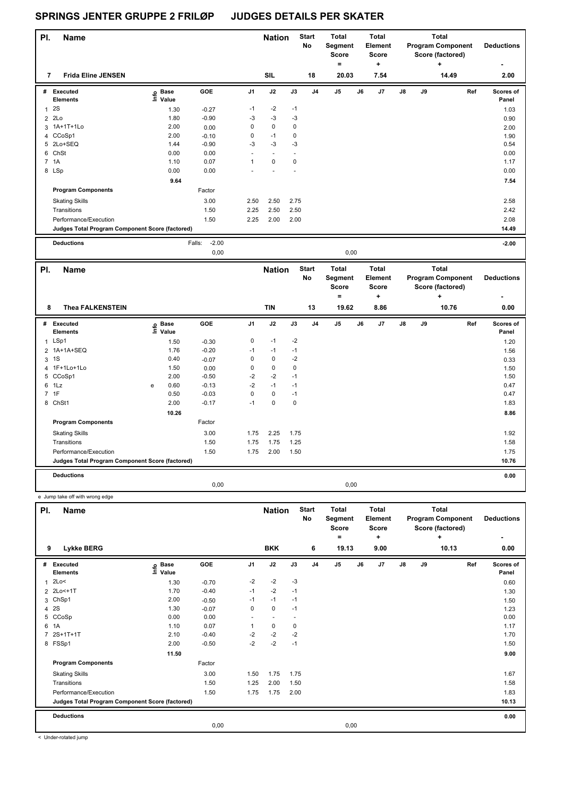| PI.            | <b>Name</b>                                     |                                          |                   |                | <b>Nation</b>  |             | <b>Start</b><br>No | Total<br>Segment<br>Score<br>= |      | <b>Total</b><br>Element<br><b>Score</b><br>$\ddot{}$ |               |    | <b>Total</b><br><b>Program Component</b><br>Score (factored)<br>٠ | <b>Deductions</b>  |
|----------------|-------------------------------------------------|------------------------------------------|-------------------|----------------|----------------|-------------|--------------------|--------------------------------|------|------------------------------------------------------|---------------|----|-------------------------------------------------------------------|--------------------|
| 7              | <b>Frida Eline JENSEN</b>                       |                                          |                   |                | <b>SIL</b>     |             | 18                 | 20.03                          |      | 7.54                                                 |               |    | 14.49                                                             | 2.00               |
| #              | Executed<br><b>Elements</b>                     | <b>Base</b><br>$\bullet$<br>$\sum$ Value | GOE               | J <sub>1</sub> | J2             | J3          | J <sub>4</sub>     | J <sub>5</sub>                 | J6   | J7                                                   | $\mathsf{J}8$ | J9 | Ref                                                               | Scores of<br>Panel |
| $\overline{1}$ | 2S                                              | 1.30                                     | $-0.27$           | $-1$           | $-2$           | $-1$        |                    |                                |      |                                                      |               |    |                                                                   | 1.03               |
| 2              | 2Lo                                             | 1.80                                     | $-0.90$           | $-3$           | $-3$           | $-3$        |                    |                                |      |                                                      |               |    |                                                                   | 0.90               |
| 3              | 1A+1T+1Lo                                       | 2.00                                     | 0.00              | 0              | $\mathbf 0$    | $\mathbf 0$ |                    |                                |      |                                                      |               |    |                                                                   | 2.00               |
|                | 4 CCoSp1                                        | 2.00                                     | $-0.10$           | 0              | $-1$           | $\mathbf 0$ |                    |                                |      |                                                      |               |    |                                                                   | 1.90               |
| 5              | 2Lo+SEQ                                         | 1.44                                     | $-0.90$           | $-3$           | $-3$           | $-3$        |                    |                                |      |                                                      |               |    |                                                                   | 0.54               |
| 6              | ChSt                                            | 0.00                                     | 0.00              | $\sim$         | $\blacksquare$ |             |                    |                                |      |                                                      |               |    |                                                                   | 0.00               |
|                | 7 1A                                            | 1.10                                     | 0.07              | 1              | $\mathbf 0$    | 0           |                    |                                |      |                                                      |               |    |                                                                   | 1.17               |
|                | 8 LSp                                           | 0.00                                     | 0.00              |                |                |             |                    |                                |      |                                                      |               |    |                                                                   | 0.00               |
|                |                                                 | 9.64                                     |                   |                |                |             |                    |                                |      |                                                      |               |    |                                                                   | 7.54               |
|                | <b>Program Components</b>                       |                                          | Factor            |                |                |             |                    |                                |      |                                                      |               |    |                                                                   |                    |
|                | <b>Skating Skills</b>                           |                                          | 3.00              | 2.50           | 2.50           | 2.75        |                    |                                |      |                                                      |               |    |                                                                   | 2.58               |
|                | Transitions                                     |                                          | 1.50              | 2.25           | 2.50           | 2.50        |                    |                                |      |                                                      |               |    |                                                                   | 2.42               |
|                | Performance/Execution                           |                                          | 1.50              | 2.25           | 2.00           | 2.00        |                    |                                |      |                                                      |               |    |                                                                   | 2.08               |
|                | Judges Total Program Component Score (factored) |                                          |                   |                |                |             |                    |                                |      |                                                      |               |    |                                                                   | 14.49              |
|                | <b>Deductions</b>                               |                                          | $-2.00$<br>Falls: |                |                |             |                    |                                |      |                                                      |               |    |                                                                   | $-2.00$            |
|                |                                                 |                                          | 0.00              |                |                |             |                    |                                | 0,00 |                                                      |               |    |                                                                   |                    |

| PI.            | <b>Name</b>                                     |   |                                  |            |                | <b>Nation</b> |      | <b>Start</b><br>No | <b>Total</b><br>Segment<br><b>Score</b><br>۰ |      | <b>Total</b><br>Element<br>Score<br>÷ |               |    | <b>Total</b><br><b>Program Component</b><br>Score (factored)<br>٠ | <b>Deductions</b>  |
|----------------|-------------------------------------------------|---|----------------------------------|------------|----------------|---------------|------|--------------------|----------------------------------------------|------|---------------------------------------|---------------|----|-------------------------------------------------------------------|--------------------|
| 8              | <b>Thea FALKENSTEIN</b>                         |   |                                  |            |                | <b>TIN</b>    |      | 13                 | 19.62                                        |      | 8.86                                  |               |    | 10.76                                                             | 0.00               |
| #              | Executed<br><b>Elements</b>                     |   | <b>Base</b><br>e Base<br>⊑ Value | <b>GOE</b> | J <sub>1</sub> | J2            | J3   | J <sub>4</sub>     | J <sub>5</sub>                               | J6   | J7                                    | $\mathsf{J}8$ | J9 | Ref                                                               | Scores of<br>Panel |
| $\mathbf{1}$   | LSp1                                            |   | 1.50                             | $-0.30$    | 0              | $-1$          | $-2$ |                    |                                              |      |                                       |               |    |                                                                   | 1.20               |
|                | 2 1A+1A+SEQ                                     |   | 1.76                             | $-0.20$    | $-1$           | $-1$          | $-1$ |                    |                                              |      |                                       |               |    |                                                                   | 1.56               |
| 3              | 1S                                              |   | 0.40                             | $-0.07$    | 0              | 0             | $-2$ |                    |                                              |      |                                       |               |    |                                                                   | 0.33               |
|                | 4 1F+1Lo+1Lo                                    |   | 1.50                             | 0.00       | 0              | $\mathbf 0$   | 0    |                    |                                              |      |                                       |               |    |                                                                   | 1.50               |
|                | 5 CCoSp1                                        |   | 2.00                             | $-0.50$    | $-2$           | $-2$          | $-1$ |                    |                                              |      |                                       |               |    |                                                                   | 1.50               |
| 6              | 1Lz                                             | e | 0.60                             | $-0.13$    | $-2$           | $-1$          | $-1$ |                    |                                              |      |                                       |               |    |                                                                   | 0.47               |
| $\overline{7}$ | 1F                                              |   | 0.50                             | $-0.03$    | 0              | 0             | $-1$ |                    |                                              |      |                                       |               |    |                                                                   | 0.47               |
|                | 8 ChSt1                                         |   | 2.00                             | $-0.17$    | $-1$           | 0             | 0    |                    |                                              |      |                                       |               |    |                                                                   | 1.83               |
|                |                                                 |   | 10.26                            |            |                |               |      |                    |                                              |      |                                       |               |    |                                                                   | 8.86               |
|                | <b>Program Components</b>                       |   |                                  | Factor     |                |               |      |                    |                                              |      |                                       |               |    |                                                                   |                    |
|                | <b>Skating Skills</b>                           |   |                                  | 3.00       | 1.75           | 2.25          | 1.75 |                    |                                              |      |                                       |               |    |                                                                   | 1.92               |
|                | Transitions                                     |   |                                  | 1.50       | 1.75           | 1.75          | 1.25 |                    |                                              |      |                                       |               |    |                                                                   | 1.58               |
|                | Performance/Execution                           |   |                                  | 1.50       | 1.75           | 2.00          | 1.50 |                    |                                              |      |                                       |               |    |                                                                   | 1.75               |
|                | Judges Total Program Component Score (factored) |   |                                  |            |                |               |      |                    |                                              |      |                                       |               |    |                                                                   | 10.76              |
|                | <b>Deductions</b>                               |   |                                  |            |                |               |      |                    |                                              |      |                                       |               |    |                                                                   | 0.00               |
|                |                                                 |   |                                  | 0,00       |                |               |      |                    |                                              | 0,00 |                                       |               |    |                                                                   |                    |

e Jump take off with wrong edge

| PI.          | <b>Name</b>                                     |                            |         |                | <b>Nation</b> |      | <b>Start</b><br>No | <b>Total</b><br>Segment<br><b>Score</b><br>۰ |    | <b>Total</b><br>Element<br><b>Score</b><br>÷ |    |    | <b>Total</b><br><b>Program Component</b><br>Score (factored)<br>÷ | <b>Deductions</b><br>$\overline{\phantom{0}}$ |
|--------------|-------------------------------------------------|----------------------------|---------|----------------|---------------|------|--------------------|----------------------------------------------|----|----------------------------------------------|----|----|-------------------------------------------------------------------|-----------------------------------------------|
| 9            | Lykke BERG                                      |                            |         |                | <b>BKK</b>    |      | 6                  | 19.13                                        |    | 9.00                                         |    |    | 10.13                                                             | 0.00                                          |
| #            | Executed<br><b>Elements</b>                     | e Base<br>⊑ Value<br>Value | GOE     | J <sub>1</sub> | J2            | J3   | J <sub>4</sub>     | J <sub>5</sub>                               | J6 | J7                                           | J8 | J9 | Ref                                                               | Scores of<br>Panel                            |
| $\mathbf{1}$ | 2Lo<                                            | 1.30                       | $-0.70$ | $-2$           | $-2$          | $-3$ |                    |                                              |    |                                              |    |    |                                                                   | 0.60                                          |
|              | 2 2Lo<+1T                                       | 1.70                       | $-0.40$ | $-1$           | $-2$          | $-1$ |                    |                                              |    |                                              |    |    |                                                                   | 1.30                                          |
|              | 3 ChSp1                                         | 2.00                       | $-0.50$ | $-1$           | $-1$          | $-1$ |                    |                                              |    |                                              |    |    |                                                                   | 1.50                                          |
|              | 4 2 S                                           | 1.30                       | $-0.07$ | 0              | 0             | $-1$ |                    |                                              |    |                                              |    |    |                                                                   | 1.23                                          |
|              | 5 CCoSp                                         | 0.00                       | 0.00    |                |               |      |                    |                                              |    |                                              |    |    |                                                                   | 0.00                                          |
|              | 6 1A                                            | 1.10                       | 0.07    | 1              | 0             | 0    |                    |                                              |    |                                              |    |    |                                                                   | 1.17                                          |
|              | 7 2S+1T+1T                                      | 2.10                       | $-0.40$ | $-2$           | $-2$          | $-2$ |                    |                                              |    |                                              |    |    |                                                                   | 1.70                                          |
|              | 8 FSSp1                                         | 2.00                       | $-0.50$ | $-2$           | $-2$          | $-1$ |                    |                                              |    |                                              |    |    |                                                                   | 1.50                                          |
|              |                                                 | 11.50                      |         |                |               |      |                    |                                              |    |                                              |    |    |                                                                   | 9.00                                          |
|              | <b>Program Components</b>                       |                            | Factor  |                |               |      |                    |                                              |    |                                              |    |    |                                                                   |                                               |
|              | <b>Skating Skills</b>                           |                            | 3.00    | 1.50           | 1.75          | 1.75 |                    |                                              |    |                                              |    |    |                                                                   | 1.67                                          |
|              | Transitions                                     |                            | 1.50    | 1.25           | 2.00          | 1.50 |                    |                                              |    |                                              |    |    |                                                                   | 1.58                                          |
|              | Performance/Execution                           |                            | 1.50    | 1.75           | 1.75          | 2.00 |                    |                                              |    |                                              |    |    |                                                                   | 1.83                                          |
|              | Judges Total Program Component Score (factored) |                            |         |                |               |      |                    |                                              |    |                                              |    |    |                                                                   | 10.13                                         |
|              | <b>Deductions</b>                               |                            |         |                |               |      |                    |                                              |    |                                              |    |    |                                                                   | 0.00                                          |
|              |                                                 |                            | 0,00    |                |               |      |                    | 0,00                                         |    |                                              |    |    |                                                                   |                                               |

< Under-rotated jump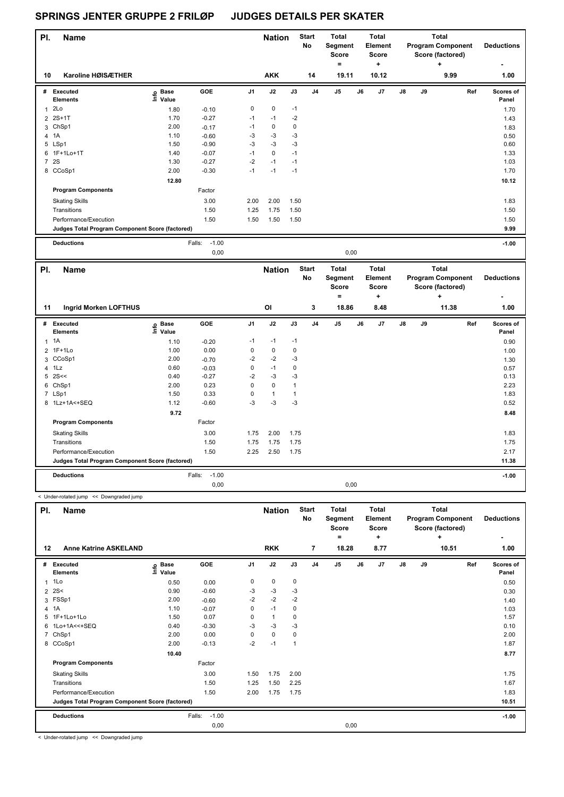| PI.            | <b>Name</b>                                     |                   |                   |                | <b>Nation</b> |      | <b>Start</b><br>No | <b>Total</b><br>Segment<br><b>Score</b>      | <b>Total</b><br>Element<br><b>Score</b>      |    |    | <b>Total</b><br><b>Program Component</b><br>Score (factored)      | <b>Deductions</b>  |
|----------------|-------------------------------------------------|-------------------|-------------------|----------------|---------------|------|--------------------|----------------------------------------------|----------------------------------------------|----|----|-------------------------------------------------------------------|--------------------|
|                |                                                 |                   |                   |                |               |      |                    | =                                            | ٠                                            |    |    | ٠                                                                 |                    |
| 10             | Karoline HØISÆTHER                              |                   |                   |                | <b>AKK</b>    |      | 14                 | 19.11                                        | 10.12                                        |    |    | 9.99                                                              | 1.00               |
| #              | Executed<br><b>Elements</b>                     | e Base<br>⊆ Value | GOE               | J <sub>1</sub> | J2            | J3   | J <sub>4</sub>     | J <sub>5</sub>                               | J7<br>J6                                     | J8 | J9 | Ref                                                               | Scores of<br>Panel |
| 1              | 2Lo                                             | 1.80              | $-0.10$           | 0              | $\pmb{0}$     | $-1$ |                    |                                              |                                              |    |    |                                                                   | 1.70               |
|                | 2 2S+1T                                         | 1.70              | $-0.27$           | $-1$           | $-1$          | $-2$ |                    |                                              |                                              |    |    |                                                                   | 1.43               |
|                | 3 ChSp1                                         | 2.00              | $-0.17$           | $-1$           | $\pmb{0}$     | 0    |                    |                                              |                                              |    |    |                                                                   | 1.83               |
| $\overline{4}$ | 1A                                              | 1.10              | $-0.60$           | $-3$           | $-3$          | $-3$ |                    |                                              |                                              |    |    |                                                                   | 0.50               |
|                | 5 LSp1                                          | 1.50              | $-0.90$           | -3             | $-3$          | -3   |                    |                                              |                                              |    |    |                                                                   | 0.60               |
|                | 6 1F+1Lo+1T                                     | 1.40              | $-0.07$           | $-1$           | $\mathbf 0$   | $-1$ |                    |                                              |                                              |    |    |                                                                   | 1.33               |
| $\overline{7}$ | <b>2S</b>                                       | 1.30              | $-0.27$           | $-2$           | $-1$          | $-1$ |                    |                                              |                                              |    |    |                                                                   | 1.03               |
|                | 8 CCoSp1                                        | 2.00              | $-0.30$           | $-1$           | $-1$          | $-1$ |                    |                                              |                                              |    |    |                                                                   | 1.70               |
|                |                                                 | 12.80             |                   |                |               |      |                    |                                              |                                              |    |    |                                                                   | 10.12              |
|                | <b>Program Components</b>                       |                   | Factor            |                |               |      |                    |                                              |                                              |    |    |                                                                   |                    |
|                | <b>Skating Skills</b>                           |                   | 3.00              | 2.00           | 2.00          | 1.50 |                    |                                              |                                              |    |    |                                                                   | 1.83               |
|                | Transitions                                     |                   | 1.50              | 1.25           | 1.75          | 1.50 |                    |                                              |                                              |    |    |                                                                   | 1.50               |
|                | Performance/Execution                           |                   | 1.50              | 1.50           | 1.50          | 1.50 |                    |                                              |                                              |    |    |                                                                   | 1.50               |
|                | Judges Total Program Component Score (factored) |                   |                   |                |               |      |                    |                                              |                                              |    |    |                                                                   | 9.99               |
|                | <b>Deductions</b>                               |                   | $-1.00$<br>Falls: |                |               |      |                    |                                              |                                              |    |    |                                                                   | $-1.00$            |
|                |                                                 |                   | 0,00              |                |               |      |                    | 0,00                                         |                                              |    |    |                                                                   |                    |
| PI.            | <b>Name</b>                                     |                   |                   |                | <b>Nation</b> |      | <b>Start</b><br>No | <b>Total</b><br>Segment<br><b>Score</b><br>۰ | <b>Total</b><br>Element<br><b>Score</b><br>٠ |    |    | <b>Total</b><br><b>Program Component</b><br>Score (factored)<br>٠ | <b>Deductions</b>  |

| 11 | <b>Ingrid Morken LOFTHUS</b>                    |                                                          |                   |                | OI   |             | 3              | 18.86 |      | 8.48 |               |    | 11.38 |     | 1.00               |
|----|-------------------------------------------------|----------------------------------------------------------|-------------------|----------------|------|-------------|----------------|-------|------|------|---------------|----|-------|-----|--------------------|
|    | # Executed<br><b>Elements</b>                   | <b>Base</b><br>$\mathop{\mathsf{Int}}\nolimits$<br>Value | <b>GOE</b>        | J <sub>1</sub> | J2   | J3          | J <sub>4</sub> | J5    | J6   | J7   | $\mathsf{J}8$ | J9 |       | Ref | Scores of<br>Panel |
|    | $1 \t1A$                                        | 1.10                                                     | $-0.20$           | $-1$           | $-1$ | $-1$        |                |       |      |      |               |    |       |     | 0.90               |
|    | 2 1F+1Lo                                        | 1.00                                                     | 0.00              | 0              | 0    | 0           |                |       |      |      |               |    |       |     | 1.00               |
|    | 3 CCoSp1                                        | 2.00                                                     | $-0.70$           | $-2$           | $-2$ | $-3$        |                |       |      |      |               |    |       |     | 1.30               |
|    | 4 1Lz                                           | 0.60                                                     | $-0.03$           | 0              | $-1$ | $\mathbf 0$ |                |       |      |      |               |    |       |     | 0.57               |
|    | $5$ 2S <<                                       | 0.40                                                     | $-0.27$           | $-2$           | $-3$ | $-3$        |                |       |      |      |               |    |       |     | 0.13               |
|    | 6 ChSp1                                         | 2.00                                                     | 0.23              | 0              | 0    | 1           |                |       |      |      |               |    |       |     | 2.23               |
|    | 7 LSp1                                          | 1.50                                                     | 0.33              | 0              | 1    |             |                |       |      |      |               |    |       |     | 1.83               |
|    | 8 1Lz+1A<+SEQ                                   | 1.12                                                     | $-0.60$           | $-3$           | $-3$ | $-3$        |                |       |      |      |               |    |       |     | 0.52               |
|    |                                                 | 9.72                                                     |                   |                |      |             |                |       |      |      |               |    |       |     | 8.48               |
|    | <b>Program Components</b>                       |                                                          | Factor            |                |      |             |                |       |      |      |               |    |       |     |                    |
|    | <b>Skating Skills</b>                           |                                                          | 3.00              | 1.75           | 2.00 | 1.75        |                |       |      |      |               |    |       |     | 1.83               |
|    | Transitions                                     |                                                          | 1.50              | 1.75           | 1.75 | 1.75        |                |       |      |      |               |    |       |     | 1.75               |
|    | Performance/Execution                           |                                                          | 1.50              | 2.25           | 2.50 | 1.75        |                |       |      |      |               |    |       |     | 2.17               |
|    | Judges Total Program Component Score (factored) |                                                          |                   |                |      |             |                |       |      |      |               |    |       |     | 11.38              |
|    | <b>Deductions</b>                               |                                                          | $-1.00$<br>Falls: |                |      |             |                |       |      |      |               |    |       |     | $-1.00$            |
|    |                                                 |                                                          | 0,00              |                |      |             |                |       | 0,00 |      |               |    |       |     |                    |

| PI. | <b>Name</b>                                     |                   |                   |          | <b>Nation</b> |                | <b>Start</b><br><b>No</b> | <b>Total</b><br>Segment<br><b>Score</b><br>= |    | <b>Total</b><br>Element<br><b>Score</b><br>÷ |               |    | <b>Total</b><br><b>Program Component</b><br>Score (factored)<br>÷ | <b>Deductions</b>  |
|-----|-------------------------------------------------|-------------------|-------------------|----------|---------------|----------------|---------------------------|----------------------------------------------|----|----------------------------------------------|---------------|----|-------------------------------------------------------------------|--------------------|
| 12  | <b>Anne Katrine ASKELAND</b>                    |                   |                   |          | <b>RKK</b>    |                | $\overline{7}$            | 18.28                                        |    | 8.77                                         |               |    | 10.51                                                             | 1.00               |
| #   | Executed<br><b>Elements</b>                     | e Base<br>⊆ Value | GOE               | J1       | J2            | J3             | J <sub>4</sub>            | J5                                           | J6 | J7                                           | $\mathsf{J}8$ | J9 | Ref                                                               | Scores of<br>Panel |
|     | $1$ 1 Lo                                        | 0.50              | 0.00              | 0        | 0             | 0              |                           |                                              |    |                                              |               |    |                                                                   | 0.50               |
|     | $2^{25<}$                                       | 0.90              | $-0.60$           | $-3$     | $-3$          | $-3$           |                           |                                              |    |                                              |               |    |                                                                   | 0.30               |
| 3   | FSSp1                                           | 2.00              | $-0.60$           | $-2$     | $-2$          | $-2$           |                           |                                              |    |                                              |               |    |                                                                   | 1.40               |
|     | 4 1A                                            | 1.10              | $-0.07$           | 0        | $-1$          | 0              |                           |                                              |    |                                              |               |    |                                                                   | 1.03               |
| 5   | 1F+1Lo+1Lo                                      | 1.50              | 0.07              | 0        | $\mathbf{1}$  | 0              |                           |                                              |    |                                              |               |    |                                                                   | 1.57               |
| 6   | 1Lo+1A<<+SEQ                                    | 0.40              | $-0.30$           | $-3$     | $-3$          | -3             |                           |                                              |    |                                              |               |    |                                                                   | 0.10               |
|     | 7 ChSp1                                         | 2.00              | 0.00              | $\Omega$ | $\mathbf 0$   | 0              |                           |                                              |    |                                              |               |    |                                                                   | 2.00               |
|     | 8 CCoSp1                                        | 2.00              | $-0.13$           | $-2$     | $-1$          | $\overline{1}$ |                           |                                              |    |                                              |               |    |                                                                   | 1.87               |
|     |                                                 | 10.40             |                   |          |               |                |                           |                                              |    |                                              |               |    |                                                                   | 8.77               |
|     | <b>Program Components</b>                       |                   | Factor            |          |               |                |                           |                                              |    |                                              |               |    |                                                                   |                    |
|     | <b>Skating Skills</b>                           |                   | 3.00              | 1.50     | 1.75          | 2.00           |                           |                                              |    |                                              |               |    |                                                                   | 1.75               |
|     | Transitions                                     |                   | 1.50              | 1.25     | 1.50          | 2.25           |                           |                                              |    |                                              |               |    |                                                                   | 1.67               |
|     | Performance/Execution                           |                   | 1.50              | 2.00     | 1.75          | 1.75           |                           |                                              |    |                                              |               |    |                                                                   | 1.83               |
|     | Judges Total Program Component Score (factored) |                   |                   |          |               |                |                           |                                              |    |                                              |               |    |                                                                   | 10.51              |
|     | <b>Deductions</b>                               |                   | $-1.00$<br>Falls: |          |               |                |                           |                                              |    |                                              |               |    |                                                                   | $-1.00$            |
|     |                                                 |                   | 0,00              |          |               |                |                           | 0,00                                         |    |                                              |               |    |                                                                   |                    |

< Under-rotated jump << Downgraded jump

< Under-rotated jump << Downgraded jump